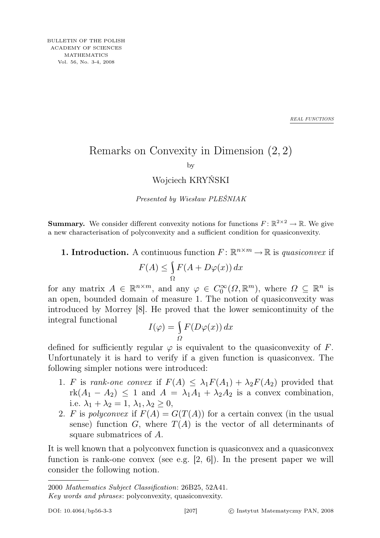*REAL FUNCTIONS*

## Remarks on Convexity in Dimension (2, 2) by

## Wojciech KRYŃSKI

Presented by Wiesław PLEŚNIAK

**Summary.** We consider different convexity notions for functions  $F: \mathbb{R}^{2 \times 2} \to \mathbb{R}$ . We give a new characterisation of polyconvexity and a sufficient condition for quasiconvexity.

**1. Introduction.** A continuous function  $F: \mathbb{R}^{n \times m} \to \mathbb{R}$  is *quasiconvex* if

$$
F(A) \le \int_{\Omega} F(A + D\varphi(x)) \, dx
$$

for any matrix  $A \in \mathbb{R}^{n \times m}$ , and any  $\varphi \in C_0^{\infty}(\Omega, \mathbb{R}^m)$ , where  $\Omega \subseteq \mathbb{R}^n$  is an open, bounded domain of measure 1. The notion of quasiconvexity was introduced by Morrey [8]. He proved that the lower semicontinuity of the integral functional

$$
I(\varphi) = \int_{\Omega} F(D\varphi(x)) dx
$$

defined for sufficiently regular  $\varphi$  is equivalent to the quasiconvexity of F. Unfortunately it is hard to verify if a given function is quasiconvex. The following simpler notions were introduced:

- 1. F is rank-one convex if  $F(A) \leq \lambda_1 F(A_1) + \lambda_2 F(A_2)$  provided that  $rk(A_1 - A_2) \leq 1$  and  $A = \lambda_1 A_1 + \lambda_2 A_2$  is a convex combination, i.e.  $\lambda_1 + \lambda_2 = 1$ ,  $\lambda_1, \lambda_2 \geq 0$ ,
- 2. F is polyconvex if  $F(A) = G(T(A))$  for a certain convex (in the usual sense) function G, where  $T(A)$  is the vector of all determinants of square submatrices of A.

It is well known that a polyconvex function is quasiconvex and a quasiconvex function is rank-one convex (see e.g.  $[2, 6]$ ). In the present paper we will consider the following notion.

<sup>2000</sup> Mathematics Subject Classification: 26B25, 52A41.

Key words and phrases: polyconvexity, quasiconvexity.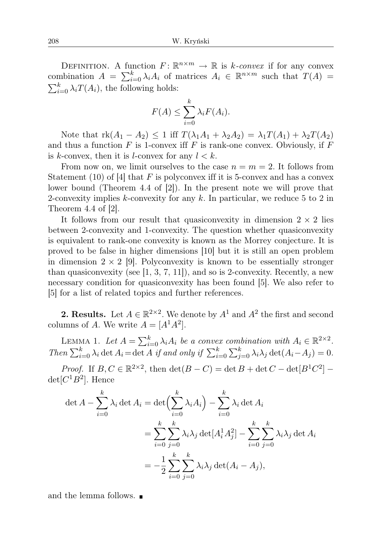DEFINITION. A function  $F: \mathbb{R}^{n \times m} \to \mathbb{R}$  is k-convex if for any convex combination  $A = \sum_{i=0}^{k} \lambda_i A_i$  of matrices  $A_i \in \mathbb{R}^{n \times m}$  such that  $T(A) =$  $\sum_{i=0}^{k} \lambda_i T(A_i)$ , the following holds:

$$
F(A) \leq \sum_{i=0}^{k} \lambda_i F(A_i).
$$

Note that  $\mathrm{rk}(A_1 - A_2) \leq 1$  iff  $T(\lambda_1A_1 + \lambda_2A_2) = \lambda_1T(A_1) + \lambda_2T(A_2)$ and thus a function  $F$  is 1-convex iff  $F$  is rank-one convex. Obviously, if  $F$ is k-convex, then it is l-convex for any  $l < k$ .

From now on, we limit ourselves to the case  $n = m = 2$ . It follows from Statement (10) of [4] that F is polyconvex iff it is 5-convex and has a convex lower bound (Theorem 4.4 of [2]). In the present note we will prove that 2-convexity implies k-convexity for any k. In particular, we reduce 5 to 2 in Theorem  $4.4$  of  $|2|$ .

It follows from our result that quasiconvexity in dimension  $2 \times 2$  lies between 2-convexity and 1-convexity. The question whether quasiconvexity is equivalent to rank-one convexity is known as the Morrey conjecture. It is proved to be false in higher dimensions [10] but it is still an open problem in dimension  $2 \times 2$  [9]. Polyconvexity is known to be essentially stronger than quasiconvexity (see  $[1, 3, 7, 11]$ ), and so is 2-convexity. Recently, a new necessary condition for quasiconvexity has been found [5]. We also refer to [5] for a list of related topics and further references.

**2. Results.** Let  $A \in \mathbb{R}^{2 \times 2}$ . We denote by  $A^1$  and  $A^2$  the first and second columns of A. We write  $A = [A^1 A^2]$ .

LEMMA 1. Let  $A = \sum_{i=0}^{k} \lambda_i A_i$  be a convex combination with  $A_i \in \mathbb{R}^{2 \times 2}$ . Then  $\sum_{i=0}^{k} \lambda_i \det A_i = \det A$  if and only if  $\sum_{i=0}^{k} \sum_{j=0}^{k} \lambda_i \lambda_j \det(A_i - A_j) = 0$ .

*Proof.* If  $B, C \in \mathbb{R}^{2 \times 2}$ , then  $\det(B - C) = \det B + \det C - \det[B^1 C^2]$  $det[C^1B^2]$ . Hence

$$
\det A - \sum_{i=0}^{k} \lambda_i \det A_i = \det \left( \sum_{i=0}^{k} \lambda_i A_i \right) - \sum_{i=0}^{k} \lambda_i \det A_i
$$
  

$$
= \sum_{i=0}^{k} \sum_{j=0}^{k} \lambda_i \lambda_j \det [A_i^1 A_j^2] - \sum_{i=0}^{k} \sum_{j=0}^{k} \lambda_i \lambda_j \det A_i
$$
  

$$
= -\frac{1}{2} \sum_{i=0}^{k} \sum_{j=0}^{k} \lambda_i \lambda_j \det (A_i - A_j),
$$

and the lemma follows.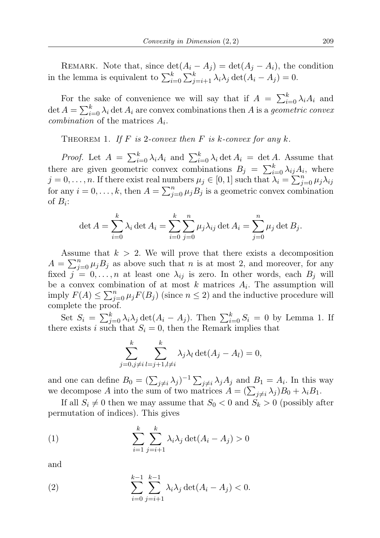REMARK. Note that, since  $\det(A_i - A_j) = \det(A_j - A_i)$ , the condition in the lemma is equivalent to  $\sum_{i=0}^{k} \sum_{j=i+1}^{k} \lambda_i \lambda_j \det(A_i - A_j) = 0$ .

For the sake of convenience we will say that if  $A = \sum_{i=0}^{k} \lambda_i A_i$  and det  $A = \sum_{i=0}^{k} \lambda_i$  det  $A_i$  are convex combinations then A is a *geometric convex combination* of the matrices  $A_i$ .

THEOREM 1. If F is 2-convex then F is k-convex for any k.

*Proof.* Let  $A = \sum_{i=0}^{k} \lambda_i A_i$  and  $\sum_{i=0}^{k} \lambda_i \det A_i = \det A$ . Assume that there are given geometric convex combinations  $B_j = \sum_{i=0}^{k} \lambda_{ij} A_i$ , where  $j=0,\ldots,n.$  If there exist real numbers  $\mu_j \in [0,1]$  such that  $\lambda_i = \sum_{j=0}^n \mu_j \lambda_{ij}$ for any  $i = 0, \ldots, k$ , then  $A = \sum_{j=0}^{n} \mu_j B_j$  is a geometric convex combination of  $B_i$ :

$$
\det A = \sum_{i=0}^{k} \lambda_i \det A_i = \sum_{i=0}^{k} \sum_{j=0}^{n} \mu_j \lambda_{ij} \det A_i = \sum_{j=0}^{n} \mu_j \det B_j.
$$

Assume that  $k > 2$ . We will prove that there exists a decomposition  $A = \sum_{j=0}^{n} \mu_j B_j$  as above such that n is at most 2, and moreover, for any fixed  $j = 0, \ldots, n$  at least one  $\lambda_{ij}$  is zero. In other words, each  $B_j$  will be a convex combination of at most  $k$  matrices  $A_i$ . The assumption will imply  $F(A) \le \sum_{j=0}^n \mu_j F(B_j)$  (since  $n \le 2$ ) and the inductive procedure will complete the proof.

Set  $S_i = \sum_{j=0}^k \lambda_i \lambda_j \det(A_i - A_j)$ . Then  $\sum_{i=0}^k S_i = 0$  by Lemma 1. If there exists i such that  $S_i = 0$ , then the Remark implies that

$$
\sum_{j=0,j\neq i}^{k} \sum_{l=j+1,l\neq i}^{k} \lambda_j \lambda_l \det(A_j - A_l) = 0,
$$

and one can define  $B_0 = (\sum_{j\neq i} \lambda_j)^{-1} \sum_{j\neq i} \lambda_j A_j$  and  $B_1 = A_i$ . In this way we decompose A into the sum of two matrices  $A = (\sum_{j \neq i} \lambda_j)B_0 + \lambda_i B_1$ .

If all  $S_i \neq 0$  then we may assume that  $S_0 < 0$  and  $S_k > 0$  (possibly after permutation of indices). This gives

(1) 
$$
\sum_{i=1}^{k} \sum_{j=i+1}^{k} \lambda_i \lambda_j \det(A_i - A_j) > 0
$$

and

(2) 
$$
\sum_{i=0}^{k-1} \sum_{j=i+1}^{k-1} \lambda_i \lambda_j \det(A_i - A_j) < 0.
$$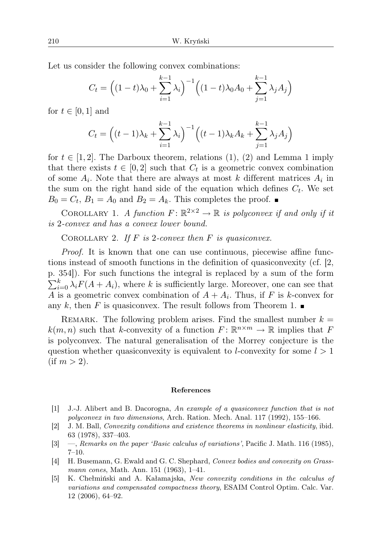Let us consider the following convex combinations:

$$
C_t = \left( (1-t)\lambda_0 + \sum_{i=1}^{k-1} \lambda_i \right)^{-1} \left( (1-t)\lambda_0 A_0 + \sum_{j=1}^{k-1} \lambda_j A_j \right)
$$

for  $t \in [0,1]$  and

$$
C_{t} = \left( (t-1)\lambda_{k} + \sum_{i=1}^{k-1} \lambda_{i} \right)^{-1} \left( (t-1)\lambda_{k} A_{k} + \sum_{j=1}^{k-1} \lambda_{j} A_{j} \right)
$$

for  $t \in [1, 2]$ . The Darboux theorem, relations (1), (2) and Lemma 1 imply that there exists  $t \in [0,2]$  such that  $C_t$  is a geometric convex combination of some  $A_i$ . Note that there are always at most k different matrices  $A_i$  in the sum on the right hand side of the equation which defines  $C_t$ . We set  $B_0 = C_t$ ,  $B_1 = A_0$  and  $B_2 = A_k$ . This completes the proof.

COROLLARY 1. A function  $F: \mathbb{R}^{2 \times 2} \to \mathbb{R}$  is polyconvex if and only if it is 2-convex and has a convex lower bound.

COROLLARY 2. If  $F$  is 2-convex then  $F$  is quasiconvex.

Proof. It is known that one can use continuous, piecewise affine functions instead of smooth functions in the definition of quasiconvexity (cf. [2, p. 354]). For such functions the integral is replaced by a sum of the form  $\sum_{i=0}^{k} \lambda_i F(A + A_i)$ , where k is sufficiently large. Moreover, one can see that A is a geometric convex combination of  $A + A_i$ . Thus, if F is k-convex for any k, then F is quasiconvex. The result follows from Theorem 1.

REMARK. The following problem arises. Find the smallest number  $k =$  $k(m, n)$  such that k-convexity of a function  $F: \mathbb{R}^{n \times m} \to \mathbb{R}$  implies that F is polyconvex. The natural generalisation of the Morrey conjecture is the question whether quasiconvexity is equivalent to *l*-convexity for some  $l > 1$  $(i f m > 2)$ .

## References

- [1] J.-J. Alibert and B. Dacorogna, An example of a quasiconvex function that is not polyconvex in two dimensions, Arch. Ration. Mech. Anal. 117 (1992), 155–166.
- [2] J. M. Ball, Convexity conditions and existence theorems in nonlinear elasticity, ibid. 63 (1978), 337–403.
- [3] —, Remarks on the paper 'Basic calculus of variations', Pacific J. Math. 116 (1985), 7–10.
- [4] H. Busemann, G. Ewald and G. C. Shephard, Convex bodies and convexity on Grassmann cones, Math. Ann. 151 (1963), 1–41.
- [5] K. Chełmiński and A. Kałamajska, New convexity conditions in the calculus of variations and compensated compactness theory, ESAIM Control Optim. Calc. Var. 12 (2006), 64–92.